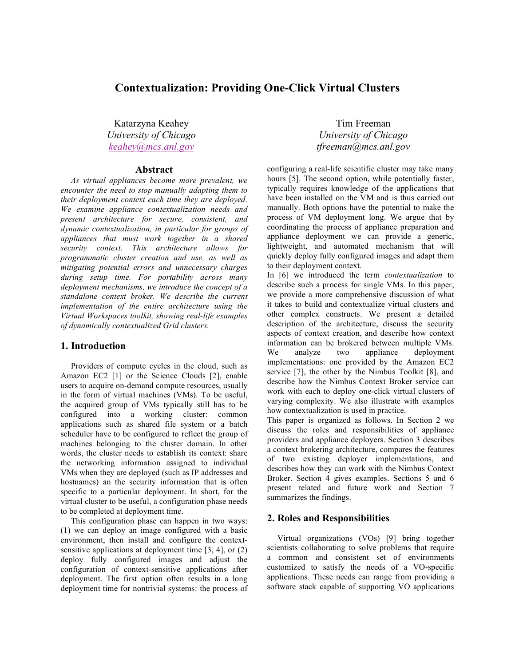# **Contextualization: Providing One-Click Virtual Clusters**

Katarzyna Keahey *University of Chicago keahey@mcs.anl.gov*

#### **Abstract**

*As virtual appliances become more prevalent, we encounter the need to stop manually adapting them to their deployment context each time they are deployed. We examine appliance contextualization needs and present architecture for secure, consistent, and dynamic contextualization, in particular for groups of appliances that must work together in a shared security context. This architecture allows for programmatic cluster creation and use, as well as mitigating potential errors and unnecessary charges during setup time. For portability across many deployment mechanisms, we introduce the concept of a standalone context broker. We describe the current implementation of the entire architecture using the Virtual Workspaces toolkit, showing real-life examples of dynamically contextualized Grid clusters.*

## **1. Introduction**

Providers of compute cycles in the cloud, such as Amazon EC2 [1] or the Science Clouds [2], enable users to acquire on-demand compute resources, usually in the form of virtual machines (VMs). To be useful, the acquired group of VMs typically still has to be configured into a working cluster: common applications such as shared file system or a batch scheduler have to be configured to reflect the group of machines belonging to the cluster domain. In other words, the cluster needs to establish its context: share the networking information assigned to individual VMs when they are deployed (such as IP addresses and hostnames) an the security information that is often specific to a particular deployment. In short, for the virtual cluster to be useful, a configuration phase needs to be completed at deployment time.

This configuration phase can happen in two ways: (1) we can deploy an image configured with a basic environment, then install and configure the contextsensitive applications at deployment time [3, 4], or (2) deploy fully configured images and adjust the configuration of context-sensitive applications after deployment. The first option often results in a long deployment time for nontrivial systems: the process of

Tim Freeman *University of Chicago tfreeman@mcs.anl.gov*

configuring a real-life scientific cluster may take many hours [5]. The second option, while potentially faster, typically requires knowledge of the applications that have been installed on the VM and is thus carried out manually. Both options have the potential to make the process of VM deployment long. We argue that by coordinating the process of appliance preparation and appliance deployment we can provide a generic, lightweight, and automated mechanism that will quickly deploy fully configured images and adapt them to their deployment context.

In [6] we introduced the term *contextualization* to describe such a process for single VMs. In this paper, we provide a more comprehensive discussion of what it takes to build and contextualize virtual clusters and other complex constructs. We present a detailed description of the architecture, discuss the security aspects of context creation, and describe how context information can be brokered between multiple VMs. We analyze two appliance deployment implementations: one provided by the Amazon EC2 service [7], the other by the Nimbus Toolkit [8], and describe how the Nimbus Context Broker service can work with each to deploy one-click virtual clusters of varying complexity. We also illustrate with examples how contextualization is used in practice.

This paper is organized as follows. In Section 2 we discuss the roles and responsibilities of appliance providers and appliance deployers. Section 3 describes a context brokering architecture, compares the features of two existing deployer implementations, and describes how they can work with the Nimbus Context Broker. Section 4 gives examples. Sections 5 and 6 present related and future work and Section 7 summarizes the findings.

### **2. Roles and Responsibilities**

Virtual organizations (VOs) [9] bring together scientists collaborating to solve problems that require a common and consistent set of environments customized to satisfy the needs of a VO-specific applications. These needs can range from providing a software stack capable of supporting VO applications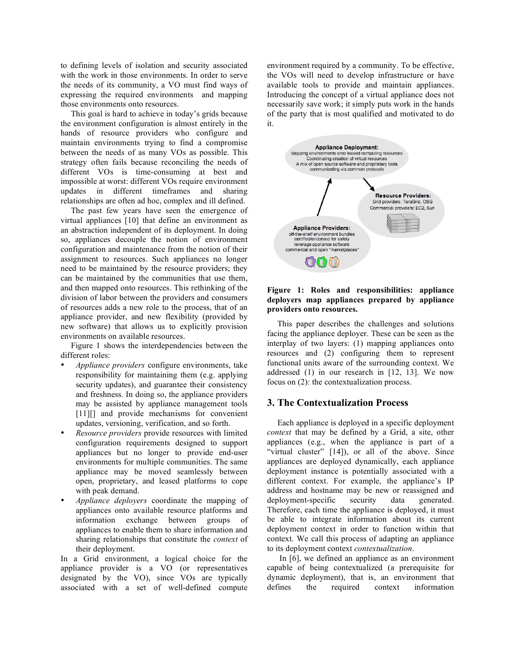to defining levels of isolation and security associated with the work in those environments. In order to serve the needs of its community, a VO must find ways of expressing the required environments and mapping those environments onto resources.

This goal is hard to achieve in today's grids because the environment configuration is almost entirely in the hands of resource providers who configure and maintain environments trying to find a compromise between the needs of as many VOs as possible. This strategy often fails because reconciling the needs of different VOs is time-consuming at best and impossible at worst: different VOs require environment updates in different timeframes and sharing relationships are often ad hoc, complex and ill defined.

The past few years have seen the emergence of virtual appliances [10] that define an environment as an abstraction independent of its deployment. In doing so, appliances decouple the notion of environment configuration and maintenance from the notion of their assignment to resources. Such appliances no longer need to be maintained by the resource providers; they can be maintained by the communities that use them, and then mapped onto resources. This rethinking of the division of labor between the providers and consumers of resources adds a new role to the process, that of an appliance provider, and new flexibility (provided by new software) that allows us to explicitly provision environments on available resources.

Figure 1 shows the interdependencies between the different roles:

- *Appliance providers* configure environments, take responsibility for maintaining them (e.g. applying security updates), and guarantee their consistency and freshness. In doing so, the appliance providers may be assisted by appliance management tools [11]<sup>[]</sup> and provide mechanisms for convenient updates, versioning, verification, and so forth.
- *Resource providers* provide resources with limited configuration requirements designed to support appliances but no longer to provide end-user environments for multiple communities. The same appliance may be moved seamlessly between open, proprietary, and leased platforms to cope with peak demand.
- *Appliance deployers* coordinate the mapping of appliances onto available resource platforms and information exchange between groups of appliances to enable them to share information and sharing relationships that constitute the *context* of their deployment.

In a Grid environment, a logical choice for the appliance provider is a VO (or representatives designated by the VO), since VOs are typically associated with a set of well-defined compute

environment required by a community. To be effective, the VOs will need to develop infrastructure or have available tools to provide and maintain appliances. Introducing the concept of a virtual appliance does not necessarily save work; it simply puts work in the hands of the party that is most qualified and motivated to do it.



#### **Figure 1: Roles and responsibilities: appliance deployers map appliances prepared by appliance providers onto resources.**

This paper describes the challenges and solutions facing the appliance deployer. These can be seen as the interplay of two layers: (1) mapping appliances onto resources and (2) configuring them to represent functional units aware of the surrounding context. We addressed (1) in our research in [12, 13]. We now focus on (2): the contextualization process.

### **3. The Contextualization Process**

Each appliance is deployed in a specific deployment *context* that may be defined by a Grid, a site, other appliances (e.g., when the appliance is part of a "virtual cluster" [14]), or all of the above. Since appliances are deployed dynamically, each appliance deployment instance is potentially associated with a different context. For example, the appliance's IP address and hostname may be new or reassigned and deployment-specific security data generated. Therefore, each time the appliance is deployed, it must be able to integrate information about its current deployment context in order to function within that context. We call this process of adapting an appliance to its deployment context *contextualization*.

In [6], we defined an appliance as an environment capable of being contextualized (a prerequisite for dynamic deployment), that is, an environment that defines the required context information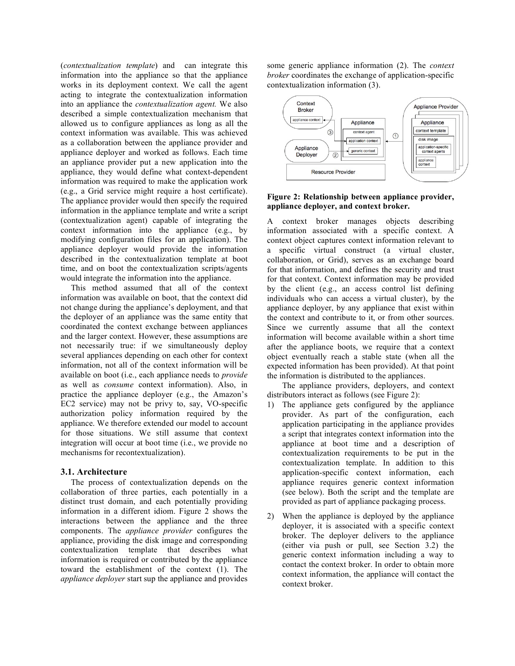(*contextualization template*) and can integrate this information into the appliance so that the appliance works in its deployment context. We call the agent acting to integrate the contextualization information into an appliance the *contextualization agent.* We also described a simple contextualization mechanism that allowed us to configure appliances as long as all the context information was available. This was achieved as a collaboration between the appliance provider and appliance deployer and worked as follows. Each time an appliance provider put a new application into the appliance, they would define what context-dependent information was required to make the application work (e.g., a Grid service might require a host certificate). The appliance provider would then specify the required information in the appliance template and write a script (contextualization agent) capable of integrating the context information into the appliance (e.g., by modifying configuration files for an application). The appliance deployer would provide the information described in the contextualization template at boot time, and on boot the contextualization scripts/agents would integrate the information into the appliance.

This method assumed that all of the context information was available on boot, that the context did not change during the appliance's deployment, and that the deployer of an appliance was the same entity that coordinated the context exchange between appliances and the larger context. However, these assumptions are not necessarily true: if we simultaneously deploy several appliances depending on each other for context information, not all of the context information will be available on boot (i.e., each appliance needs to *provide* as well as *consume* context information). Also, in practice the appliance deployer (e.g., the Amazon's EC2 service) may not be privy to, say, VO-specific authorization policy information required by the appliance. We therefore extended our model to account for those situations. We still assume that context integration will occur at boot time (i.e., we provide no mechanisms for recontextualization).

#### **3.1. Architecture**

The process of contextualization depends on the collaboration of three parties, each potentially in a distinct trust domain, and each potentially providing information in a different idiom. Figure 2 shows the interactions between the appliance and the three components. The *appliance provider* configures the appliance, providing the disk image and corresponding contextualization template that describes what information is required or contributed by the appliance toward the establishment of the context (1). The *appliance deployer* start sup the appliance and provides

some generic appliance information (2). The *context broker* coordinates the exchange of application-specific contextualization information (3).



### **Figure 2: Relationship between appliance provider, appliance deployer, and context broker.**

A context broker manages objects describing information associated with a specific context. A context object captures context information relevant to a specific virtual construct (a virtual cluster, collaboration, or Grid), serves as an exchange board for that information, and defines the security and trust for that context. Context information may be provided by the client (e.g., an access control list defining individuals who can access a virtual cluster), by the appliance deployer, by any appliance that exist within the context and contribute to it, or from other sources. Since we currently assume that all the context information will become available within a short time after the appliance boots, we require that a context object eventually reach a stable state (when all the expected information has been provided). At that point the information is distributed to the appliances.

The appliance providers, deployers, and context distributors interact as follows (see Figure 2):

- 1) The appliance gets configured by the appliance provider. As part of the configuration, each application participating in the appliance provides a script that integrates context information into the appliance at boot time and a description of contextualization requirements to be put in the contextualization template. In addition to this application-specific context information, each appliance requires generic context information (see below). Both the script and the template are provided as part of appliance packaging process.
- 2) When the appliance is deployed by the appliance deployer, it is associated with a specific context broker. The deployer delivers to the appliance (either via push or pull, see Section 3.2) the generic context information including a way to contact the context broker. In order to obtain more context information, the appliance will contact the context broker.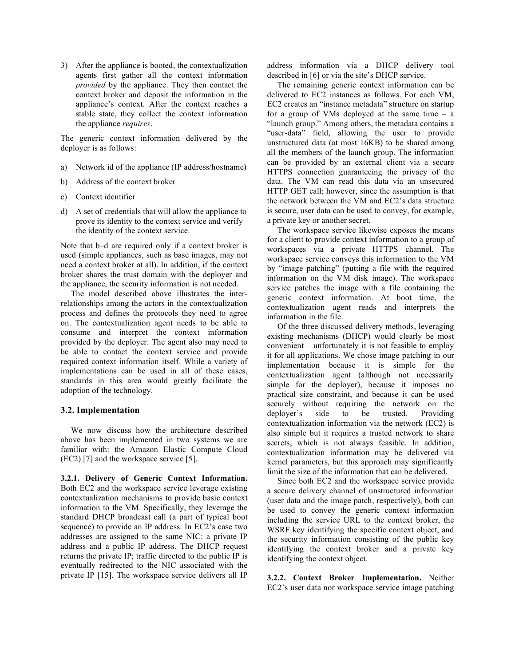3) After the appliance is booted, the contextualization agents first gather all the context information *provided* by the appliance. They then contact the context broker and deposit the information in the appliance's context. After the context reaches a stable state, they collect the context information the appliance *requires*.

The generic context information delivered by the deployer is as follows:

- a) Network id of the appliance (IP address/hostname)
- b) Address of the context broker
- c) Context identifier
- d) A set of credentials that will allow the appliance to prove its identity to the context service and verify the identity of the context service.

Note that b–d are required only if a context broker is used (simple appliances, such as base images, may not need a context broker at all). In addition, if the context broker shares the trust domain with the deployer and the appliance, the security information is not needed.

The model described above illustrates the interrelationships among the actors in the contextualization process and defines the protocols they need to agree on. The contextualization agent needs to be able to consume and interpret the context information provided by the deployer. The agent also may need to be able to contact the context service and provide required context information itself. While a variety of implementations can be used in all of these cases, standards in this area would greatly facilitate the adoption of the technology.

#### **3.2. Implementation**

We now discuss how the architecture described above has been implemented in two systems we are familiar with: the Amazon Elastic Compute Cloud (EC2) [7] and the workspace service [5].

**3.2.1. Delivery of Generic Context Information.** Both EC2 and the workspace service leverage existing contextualization mechanisms to provide basic context information to the VM. Specifically, they leverage the standard DHCP broadcast call (a part of typical boot sequence) to provide an IP address. In EC2's case two addresses are assigned to the same NIC: a private IP address and a public IP address. The DHCP request returns the private IP; traffic directed to the public IP is eventually redirected to the NIC associated with the private IP [15]. The workspace service delivers all IP

address information via a DHCP delivery tool described in [6] or via the site's DHCP service.

The remaining generic context information can be delivered to EC2 instances as follows. For each VM, EC2 creates an "instance metadata" structure on startup for a group of VMs deployed at the same time  $-$  a "launch group." Among others, the metadata contains a "user-data" field, allowing the user to provide unstructured data (at most 16KB) to be shared among all the members of the launch group. The information can be provided by an external client via a secure HTTPS connection guaranteeing the privacy of the data. The VM can read this data via an unsecured HTTP GET call; however, since the assumption is that the network between the VM and EC2's data structure is secure, user data can be used to convey, for example, a private key or another secret.

The workspace service likewise exposes the means for a client to provide context information to a group of workspaces via a private HTTPS channel. The workspace service conveys this information to the VM by "image patching" (putting a file with the required information on the VM disk image). The workspace service patches the image with a file containing the generic context information. At boot time, the contextualization agent reads and interprets the information in the file.

Of the three discussed delivery methods, leveraging existing mechanisms (DHCP) would clearly be most convenient – unfortunately it is not feasible to employ it for all applications. We chose image patching in our implementation because it is simple for the contextualization agent (although not necessarily simple for the deployer), because it imposes no practical size constraint, and because it can be used securely without requiring the network on the deployer's side to be trusted. Providing contextualization information via the network (EC2) is also simple but it requires a trusted network to share secrets, which is not always feasible. In addition, contextualization information may be delivered via kernel parameters, but this approach may significantly limit the size of the information that can be delivered.

Since both EC2 and the workspace service provide a secure delivery channel of unstructured information (user data and the image patch, respectively), both can be used to convey the generic context information including the service URL to the context broker, the WSRF key identifying the specific context object, and the security information consisting of the public key identifying the context broker and a private key identifying the context object.

**3.2.2. Context Broker Implementation.** Neither EC2's user data nor workspace service image patching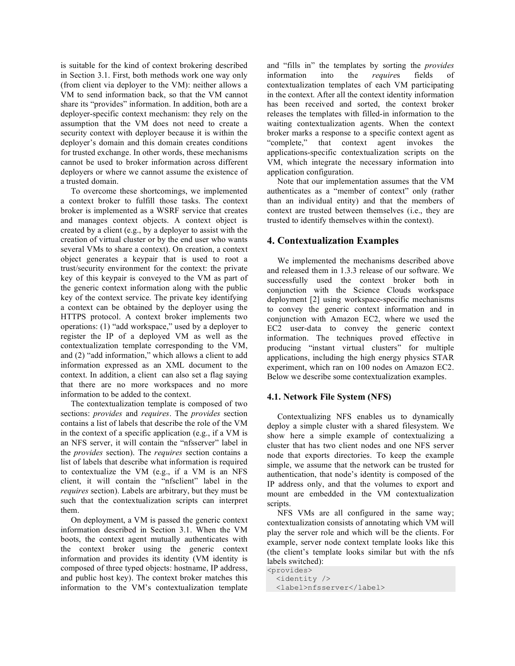is suitable for the kind of context brokering described in Section 3.1. First, both methods work one way only (from client via deployer to the VM): neither allows a VM to send information back, so that the VM cannot share its "provides" information. In addition, both are a deployer-specific context mechanism: they rely on the assumption that the VM does not need to create a security context with deployer because it is within the deployer's domain and this domain creates conditions for trusted exchange. In other words, these mechanisms cannot be used to broker information across different deployers or where we cannot assume the existence of a trusted domain.

To overcome these shortcomings, we implemented a context broker to fulfill those tasks. The context broker is implemented as a WSRF service that creates and manages context objects. A context object is created by a client (e.g., by a deployer to assist with the creation of virtual cluster or by the end user who wants several VMs to share a context). On creation, a context object generates a keypair that is used to root a trust/security environment for the context: the private key of this keypair is conveyed to the VM as part of the generic context information along with the public key of the context service. The private key identifying a context can be obtained by the deployer using the HTTPS protocol. A context broker implements two operations: (1) "add workspace," used by a deployer to register the IP of a deployed VM as well as the contextualization template corresponding to the VM, and (2) "add information," which allows a client to add information expressed as an XML document to the context. In addition, a client can also set a flag saying that there are no more workspaces and no more information to be added to the context.

The contextualization template is composed of two sections: *provides* and *requires*. The *provides* section contains a list of labels that describe the role of the VM in the context of a specific application (e.g., if a VM is an NFS server, it will contain the "nfsserver" label in the *provides* section). The *requires* section contains a list of labels that describe what information is required to contextualize the VM (e.g., if a VM is an NFS client, it will contain the "nfsclient" label in the *requires* section). Labels are arbitrary, but they must be such that the contextualization scripts can interpret them.

On deployment, a VM is passed the generic context information described in Section 3.1. When the VM boots, the context agent mutually authenticates with the context broker using the generic context information and provides its identity (VM identity is composed of three typed objects: hostname, IP address, and public host key). The context broker matches this information to the VM's contextualization template and "fills in" the templates by sorting the *provides* information into the *require*s fields of contextualization templates of each VM participating in the context. After all the context identity information has been received and sorted, the context broker releases the templates with filled-in information to the waiting contextualization agents. When the context broker marks a response to a specific context agent as "complete," that context agent invokes the applications-specific contextualization scripts on the VM, which integrate the necessary information into application configuration.

Note that our implementation assumes that the VM authenticates as a "member of context" only (rather than an individual entity) and that the members of context are trusted between themselves (i.e., they are trusted to identify themselves within the context).

## **4. Contextualization Examples**

We implemented the mechanisms described above and released them in 1.3.3 release of our software. We successfully used the context broker both in conjunction with the Science Clouds workspace deployment [2] using workspace-specific mechanisms to convey the generic context information and in conjunction with Amazon EC2, where we used the EC2 user-data to convey the generic context information. The techniques proved effective in producing "instant virtual clusters" for multiple applications, including the high energy physics STAR experiment, which ran on 100 nodes on Amazon EC2. Below we describe some contextualization examples.

#### **4.1. Network File System (NFS)**

Contextualizing NFS enables us to dynamically deploy a simple cluster with a shared filesystem. We show here a simple example of contextualizing a cluster that has two client nodes and one NFS server node that exports directories. To keep the example simple, we assume that the network can be trusted for authentication, that node's identity is composed of the IP address only, and that the volumes to export and mount are embedded in the VM contextualization scripts.

NFS VMs are all configured in the same way; contextualization consists of annotating which VM will play the server role and which will be the clients. For example, server node context template looks like this (the client's template looks similar but with the nfs labels switched):

```
<provides>
 <identity />
 <label>nfsserver</label>
```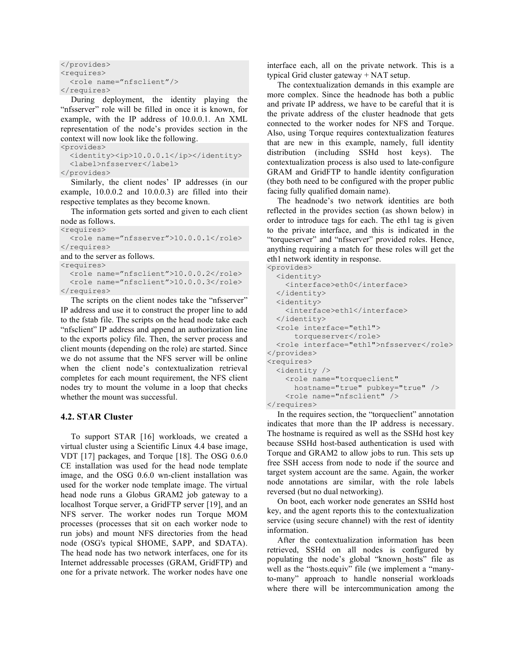```
</provides>
<requires>
  <role name="nfsclient"/>
\langle/requires>
```
During deployment, the identity playing the "nfsserver" role will be filled in once it is known, for example, with the IP address of 10.0.0.1. An XML representation of the node's provides section in the context will now look like the following.

```
<provides>
  <identity><ip>10.0.0.1</ip></identity>
  <label>nfsserver</label>
```
</provides>

Similarly, the client nodes' IP addresses (in our example, 10.0.0.2 and 10.0.0.3) are filled into their respective templates as they become known.

The information gets sorted and given to each client node as follows.

```
<requires>
  <role name="nfsserver">10.0.0.1</role>
\langle/requires>
```
and to the server as follows.

<requires> <role name="nfsclient">10.0.0.2</role> <role name="nfsclient">10.0.0.3</role>

</requires> The scripts on the client nodes take the "nfsserver" IP address and use it to construct the proper line to add to the fstab file. The scripts on the head node take each "nfsclient" IP address and append an authorization line to the exports policy file. Then, the server process and client mounts (depending on the role) are started. Since we do not assume that the NFS server will be online when the client node's contextualization retrieval completes for each mount requirement, the NFS client nodes try to mount the volume in a loop that checks whether the mount was successful.

## **4.2. STAR Cluster**

To support STAR [16] workloads, we created a virtual cluster using a Scientific Linux 4.4 base image, VDT [17] packages, and Torque [18]. The OSG 0.6.0 CE installation was used for the head node template image, and the OSG 0.6.0 wn-client installation was used for the worker node template image. The virtual head node runs a Globus GRAM2 job gateway to a localhost Torque server, a GridFTP server [19], and an NFS server. The worker nodes run Torque MOM processes (processes that sit on each worker node to run jobs) and mount NFS directories from the head node (OSG's typical \$HOME, \$APP, and \$DATA). The head node has two network interfaces, one for its Internet addressable processes (GRAM, GridFTP) and one for a private network. The worker nodes have one

interface each, all on the private network. This is a typical Grid cluster gateway + NAT setup.

The contextualization demands in this example are more complex. Since the headnode has both a public and private IP address, we have to be careful that it is the private address of the cluster headnode that gets connected to the worker nodes for NFS and Torque. Also, using Torque requires contextualization features that are new in this example, namely, full identity distribution (including SSHd host keys). The contextualization process is also used to late-configure GRAM and GridFTP to handle identity configuration (they both need to be configured with the proper public facing fully qualified domain name).

The headnode's two network identities are both reflected in the provides section (as shown below) in order to introduce tags for each. The eth1 tag is given to the private interface, and this is indicated in the "torqueserver" and "nfsserver" provided roles. Hence, anything requiring a match for these roles will get the eth1 network identity in response.

```
<provides>
  <identity>
    <interface>eth0</interface>
  </identity>
  <identity>
    <interface>eth1</interface>
  </identity>
  <role interface="eth1">
      torqueserver</role>
  <role interface="eth1">nfsserver</role>
</provides>
<requires>
  <identity />
    <role name="torqueclient"
      hostname="true" pubkey="true" />
    <role name="nfsclient" />
</requires>
```
In the requires section, the "torqueclient" annotation indicates that more than the IP address is necessary. The hostname is required as well as the SSHd host key because SSHd host-based authentication is used with Torque and GRAM2 to allow jobs to run. This sets up free SSH access from node to node if the source and target system account are the same. Again, the worker node annotations are similar, with the role labels reversed (but no dual networking).

On boot, each worker node generates an SSHd host key, and the agent reports this to the contextualization service (using secure channel) with the rest of identity information.

After the contextualization information has been retrieved, SSHd on all nodes is configured by populating the node's global "known\_hosts" file as well as the "hosts.equiv" file (we implement a "manyto-many" approach to handle nonserial workloads where there will be intercommunication among the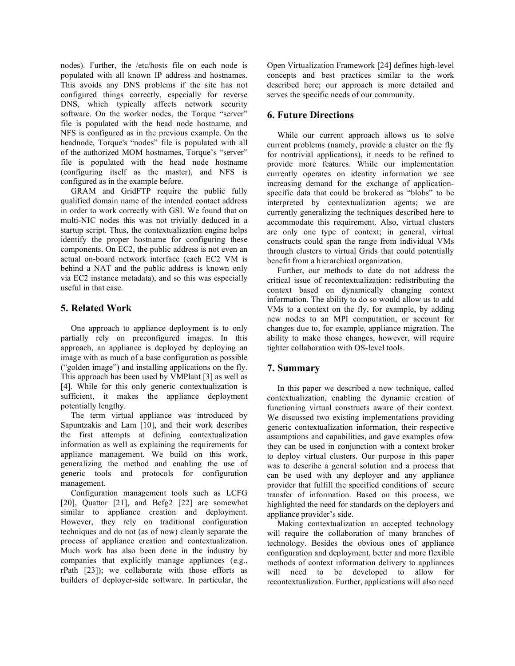nodes). Further, the /etc/hosts file on each node is populated with all known IP address and hostnames. This avoids any DNS problems if the site has not configured things correctly, especially for reverse DNS, which typically affects network security software. On the worker nodes, the Torque "server" file is populated with the head node hostname, and NFS is configured as in the previous example. On the headnode, Torque's "nodes" file is populated with all of the authorized MOM hostnames, Torque's "server" file is populated with the head node hostname (configuring itself as the master), and NFS is configured as in the example before.

GRAM and GridFTP require the public fully qualified domain name of the intended contact address in order to work correctly with GSI. We found that on multi-NIC nodes this was not trivially deduced in a startup script. Thus, the contextualization engine helps identify the proper hostname for configuring these components. On EC2, the public address is not even an actual on-board network interface (each EC2 VM is behind a NAT and the public address is known only via EC2 instance metadata), and so this was especially useful in that case.

## **5. Related Work**

One approach to appliance deployment is to only partially rely on preconfigured images. In this approach, an appliance is deployed by deploying an image with as much of a base configuration as possible ("golden image") and installing applications on the fly. This approach has been used by VMPlant [3] as well as [4]. While for this only generic contextualization is sufficient, it makes the appliance deployment potentially lengthy.

The term virtual appliance was introduced by Sapuntzakis and Lam [10], and their work describes the first attempts at defining contextualization information as well as explaining the requirements for appliance management. We build on this work, generalizing the method and enabling the use of generic tools and protocols for configuration management.

Configuration management tools such as LCFG [20], Quattor [21], and Bcfg2 [22] are somewhat similar to appliance creation and deployment. However, they rely on traditional configuration techniques and do not (as of now) cleanly separate the process of appliance creation and contextualization. Much work has also been done in the industry by companies that explicitly manage appliances (e.g., rPath [23]); we collaborate with those efforts as builders of deployer-side software. In particular, the Open Virtualization Framework [24] defines high-level concepts and best practices similar to the work described here; our approach is more detailed and serves the specific needs of our community.

# **6. Future Directions**

While our current approach allows us to solve current problems (namely, provide a cluster on the fly for nontrivial applications), it needs to be refined to provide more features. While our implementation currently operates on identity information we see increasing demand for the exchange of applicationspecific data that could be brokered as "blobs" to be interpreted by contextualization agents; we are currently generalizing the techniques described here to accommodate this requirement. Also, virtual clusters are only one type of context; in general, virtual constructs could span the range from individual VMs through clusters to virtual Grids that could potentially benefit from a hierarchical organization.

Further, our methods to date do not address the critical issue of recontextualization: redistributing the context based on dynamically changing context information. The ability to do so would allow us to add VMs to a context on the fly, for example, by adding new nodes to an MPI computation, or account for changes due to, for example, appliance migration. The ability to make those changes, however, will require tighter collaboration with OS-level tools.

# **7. Summary**

In this paper we described a new technique, called contextualization, enabling the dynamic creation of functioning virtual constructs aware of their context. We discussed two existing implementations providing generic contextualization information, their respective assumptions and capabilities, and gave examples ofow they can be used in conjunction with a context broker to deploy virtual clusters. Our purpose in this paper was to describe a general solution and a process that can be used with any deployer and any appliance provider that fulfill the specified conditions of secure transfer of information. Based on this process, we highlighted the need for standards on the deployers and appliance provider's side.

Making contextualization an accepted technology will require the collaboration of many branches of technology. Besides the obvious ones of appliance configuration and deployment, better and more flexible methods of context information delivery to appliances will need to be developed to allow for recontextualization. Further, applications will also need